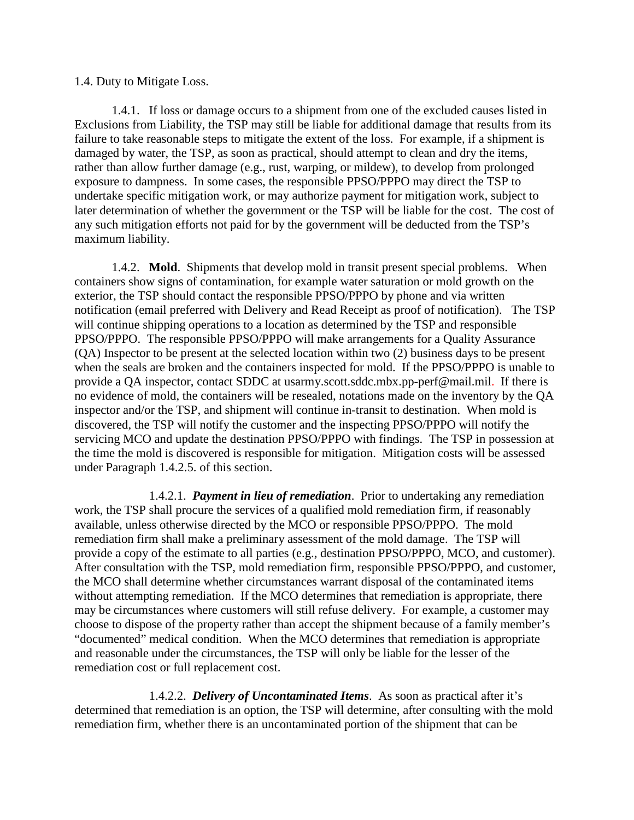## 1.4. Duty to Mitigate Loss.

1.4.1. If loss or damage occurs to a shipment from one of the excluded causes listed in Exclusions from Liability, the TSP may still be liable for additional damage that results from its failure to take reasonable steps to mitigate the extent of the loss. For example, if a shipment is damaged by water, the TSP, as soon as practical, should attempt to clean and dry the items, rather than allow further damage (e.g., rust, warping, or mildew), to develop from prolonged exposure to dampness. In some cases, the responsible PPSO/PPPO may direct the TSP to undertake specific mitigation work, or may authorize payment for mitigation work, subject to later determination of whether the government or the TSP will be liable for the cost. The cost of any such mitigation efforts not paid for by the government will be deducted from the TSP's maximum liability.

1.4.2. **Mold**. Shipments that develop mold in transit present special problems. When containers show signs of contamination, for example water saturation or mold growth on the exterior, the TSP should contact the responsible PPSO/PPPO by phone and via written notification (email preferred with Delivery and Read Receipt as proof of notification). The TSP will continue shipping operations to a location as determined by the TSP and responsible PPSO/PPPO. The responsible PPSO/PPPO will make arrangements for a Quality Assurance (QA) Inspector to be present at the selected location within two (2) business days to be present when the seals are broken and the containers inspected for mold. If the PPSO/PPPO is unable to provide a QA inspector, contact SDDC at usarmy.scott.sddc.mbx.pp-perf@mail.mil. If there is no evidence of mold, the containers will be resealed, notations made on the inventory by the QA inspector and/or the TSP, and shipment will continue in-transit to destination. When mold is discovered, the TSP will notify the customer and the inspecting PPSO/PPPO will notify the servicing MCO and update the destination PPSO/PPPO with findings. The TSP in possession at the time the mold is discovered is responsible for mitigation. Mitigation costs will be assessed under Paragraph 1.4.2.5. of this section.

1.4.2.1. *Payment in lieu of remediation*. Prior to undertaking any remediation work, the TSP shall procure the services of a qualified mold remediation firm, if reasonably available, unless otherwise directed by the MCO or responsible PPSO/PPPO. The mold remediation firm shall make a preliminary assessment of the mold damage. The TSP will provide a copy of the estimate to all parties (e.g., destination PPSO/PPPO, MCO, and customer). After consultation with the TSP, mold remediation firm, responsible PPSO/PPPO, and customer, the MCO shall determine whether circumstances warrant disposal of the contaminated items without attempting remediation. If the MCO determines that remediation is appropriate, there may be circumstances where customers will still refuse delivery. For example, a customer may choose to dispose of the property rather than accept the shipment because of a family member's "documented" medical condition. When the MCO determines that remediation is appropriate and reasonable under the circumstances, the TSP will only be liable for the lesser of the remediation cost or full replacement cost.

1.4.2.2. *Delivery of Uncontaminated Items*. As soon as practical after it's determined that remediation is an option, the TSP will determine, after consulting with the mold remediation firm, whether there is an uncontaminated portion of the shipment that can be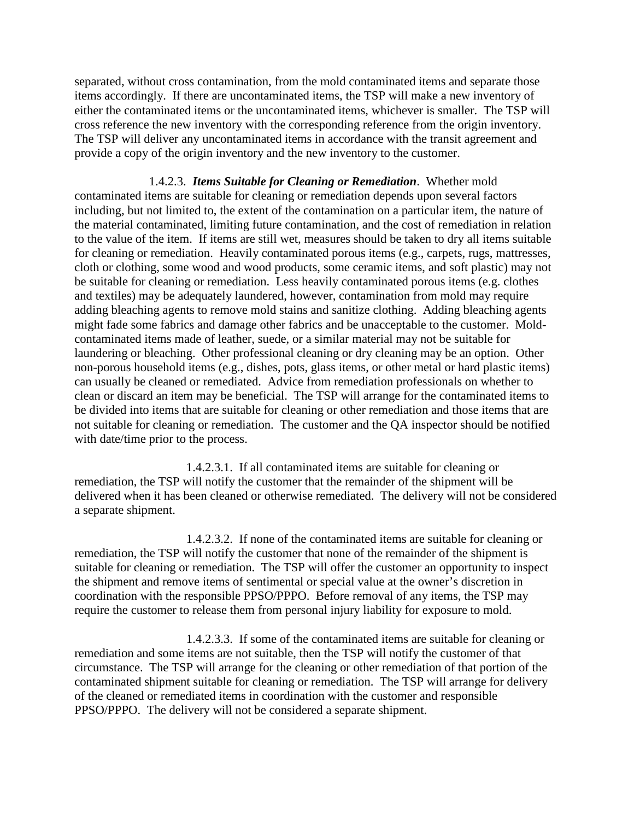separated, without cross contamination, from the mold contaminated items and separate those items accordingly. If there are uncontaminated items, the TSP will make a new inventory of either the contaminated items or the uncontaminated items, whichever is smaller. The TSP will cross reference the new inventory with the corresponding reference from the origin inventory. The TSP will deliver any uncontaminated items in accordance with the transit agreement and provide a copy of the origin inventory and the new inventory to the customer.

1.4.2.3. *Items Suitable for Cleaning or Remediation*. Whether mold contaminated items are suitable for cleaning or remediation depends upon several factors including, but not limited to, the extent of the contamination on a particular item, the nature of the material contaminated, limiting future contamination, and the cost of remediation in relation to the value of the item. If items are still wet, measures should be taken to dry all items suitable for cleaning or remediation. Heavily contaminated porous items (e.g., carpets, rugs, mattresses, cloth or clothing, some wood and wood products, some ceramic items, and soft plastic) may not be suitable for cleaning or remediation. Less heavily contaminated porous items (e.g. clothes and textiles) may be adequately laundered, however, contamination from mold may require adding bleaching agents to remove mold stains and sanitize clothing. Adding bleaching agents might fade some fabrics and damage other fabrics and be unacceptable to the customer. Moldcontaminated items made of leather, suede, or a similar material may not be suitable for laundering or bleaching. Other professional cleaning or dry cleaning may be an option. Other non-porous household items (e.g., dishes, pots, glass items, or other metal or hard plastic items) can usually be cleaned or remediated. Advice from remediation professionals on whether to clean or discard an item may be beneficial. The TSP will arrange for the contaminated items to be divided into items that are suitable for cleaning or other remediation and those items that are not suitable for cleaning or remediation. The customer and the QA inspector should be notified with date/time prior to the process.

1.4.2.3.1. If all contaminated items are suitable for cleaning or remediation, the TSP will notify the customer that the remainder of the shipment will be delivered when it has been cleaned or otherwise remediated. The delivery will not be considered a separate shipment.

1.4.2.3.2. If none of the contaminated items are suitable for cleaning or remediation, the TSP will notify the customer that none of the remainder of the shipment is suitable for cleaning or remediation. The TSP will offer the customer an opportunity to inspect the shipment and remove items of sentimental or special value at the owner's discretion in coordination with the responsible PPSO/PPPO. Before removal of any items, the TSP may require the customer to release them from personal injury liability for exposure to mold.

1.4.2.3.3. If some of the contaminated items are suitable for cleaning or remediation and some items are not suitable, then the TSP will notify the customer of that circumstance. The TSP will arrange for the cleaning or other remediation of that portion of the contaminated shipment suitable for cleaning or remediation. The TSP will arrange for delivery of the cleaned or remediated items in coordination with the customer and responsible PPSO/PPPO. The delivery will not be considered a separate shipment.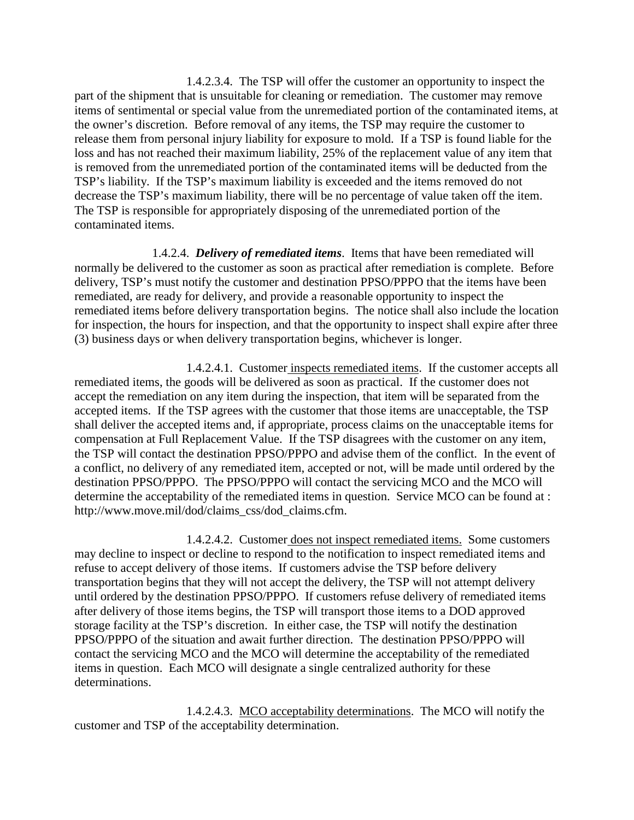1.4.2.3.4. The TSP will offer the customer an opportunity to inspect the part of the shipment that is unsuitable for cleaning or remediation. The customer may remove items of sentimental or special value from the unremediated portion of the contaminated items, at the owner's discretion. Before removal of any items, the TSP may require the customer to release them from personal injury liability for exposure to mold. If a TSP is found liable for the loss and has not reached their maximum liability, 25% of the replacement value of any item that is removed from the unremediated portion of the contaminated items will be deducted from the TSP's liability. If the TSP's maximum liability is exceeded and the items removed do not decrease the TSP's maximum liability, there will be no percentage of value taken off the item. The TSP is responsible for appropriately disposing of the unremediated portion of the contaminated items.

1.4.2.4. *Delivery of remediated items*. Items that have been remediated will normally be delivered to the customer as soon as practical after remediation is complete. Before delivery, TSP's must notify the customer and destination PPSO/PPPO that the items have been remediated, are ready for delivery, and provide a reasonable opportunity to inspect the remediated items before delivery transportation begins. The notice shall also include the location for inspection, the hours for inspection, and that the opportunity to inspect shall expire after three (3) business days or when delivery transportation begins, whichever is longer.

1.4.2.4.1. Customer inspects remediated items. If the customer accepts all remediated items, the goods will be delivered as soon as practical. If the customer does not accept the remediation on any item during the inspection, that item will be separated from the accepted items. If the TSP agrees with the customer that those items are unacceptable, the TSP shall deliver the accepted items and, if appropriate, process claims on the unacceptable items for compensation at Full Replacement Value. If the TSP disagrees with the customer on any item, the TSP will contact the destination PPSO/PPPO and advise them of the conflict. In the event of a conflict, no delivery of any remediated item, accepted or not, will be made until ordered by the destination PPSO/PPPO. The PPSO/PPPO will contact the servicing MCO and the MCO will determine the acceptability of the remediated items in question. Service MCO can be found at : http://www.move.mil/dod/claims\_css/dod\_claims.cfm.

1.4.2.4.2. Customer does not inspect remediated items. Some customers may decline to inspect or decline to respond to the notification to inspect remediated items and refuse to accept delivery of those items. If customers advise the TSP before delivery transportation begins that they will not accept the delivery, the TSP will not attempt delivery until ordered by the destination PPSO/PPPO. If customers refuse delivery of remediated items after delivery of those items begins, the TSP will transport those items to a DOD approved storage facility at the TSP's discretion. In either case, the TSP will notify the destination PPSO/PPPO of the situation and await further direction. The destination PPSO/PPPO will contact the servicing MCO and the MCO will determine the acceptability of the remediated items in question. Each MCO will designate a single centralized authority for these determinations.

1.4.2.4.3. MCO acceptability determinations. The MCO will notify the customer and TSP of the acceptability determination.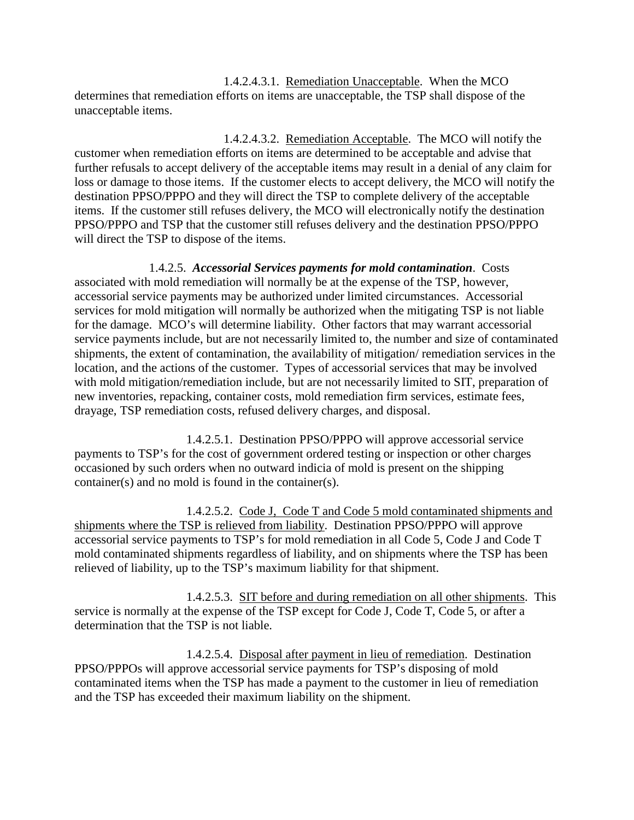1.4.2.4.3.1. Remediation Unacceptable. When the MCO determines that remediation efforts on items are unacceptable, the TSP shall dispose of the unacceptable items.

1.4.2.4.3.2. Remediation Acceptable. The MCO will notify the customer when remediation efforts on items are determined to be acceptable and advise that further refusals to accept delivery of the acceptable items may result in a denial of any claim for loss or damage to those items. If the customer elects to accept delivery, the MCO will notify the destination PPSO/PPPO and they will direct the TSP to complete delivery of the acceptable items. If the customer still refuses delivery, the MCO will electronically notify the destination PPSO/PPPO and TSP that the customer still refuses delivery and the destination PPSO/PPPO will direct the TSP to dispose of the items.

1.4.2.5. *Accessorial Services payments for mold contamination*. Costs associated with mold remediation will normally be at the expense of the TSP, however, accessorial service payments may be authorized under limited circumstances. Accessorial services for mold mitigation will normally be authorized when the mitigating TSP is not liable for the damage. MCO's will determine liability. Other factors that may warrant accessorial service payments include, but are not necessarily limited to, the number and size of contaminated shipments, the extent of contamination, the availability of mitigation/ remediation services in the location, and the actions of the customer. Types of accessorial services that may be involved with mold mitigation/remediation include, but are not necessarily limited to SIT, preparation of new inventories, repacking, container costs, mold remediation firm services, estimate fees, drayage, TSP remediation costs, refused delivery charges, and disposal.

1.4.2.5.1. Destination PPSO/PPPO will approve accessorial service payments to TSP's for the cost of government ordered testing or inspection or other charges occasioned by such orders when no outward indicia of mold is present on the shipping container(s) and no mold is found in the container(s).

1.4.2.5.2. Code J, Code T and Code 5 mold contaminated shipments and shipments where the TSP is relieved from liability. Destination PPSO/PPPO will approve accessorial service payments to TSP's for mold remediation in all Code 5, Code J and Code T mold contaminated shipments regardless of liability, and on shipments where the TSP has been relieved of liability, up to the TSP's maximum liability for that shipment.

1.4.2.5.3. SIT before and during remediation on all other shipments. This service is normally at the expense of the TSP except for Code J, Code T, Code 5, or after a determination that the TSP is not liable.

1.4.2.5.4. Disposal after payment in lieu of remediation. Destination PPSO/PPPOs will approve accessorial service payments for TSP's disposing of mold contaminated items when the TSP has made a payment to the customer in lieu of remediation and the TSP has exceeded their maximum liability on the shipment.